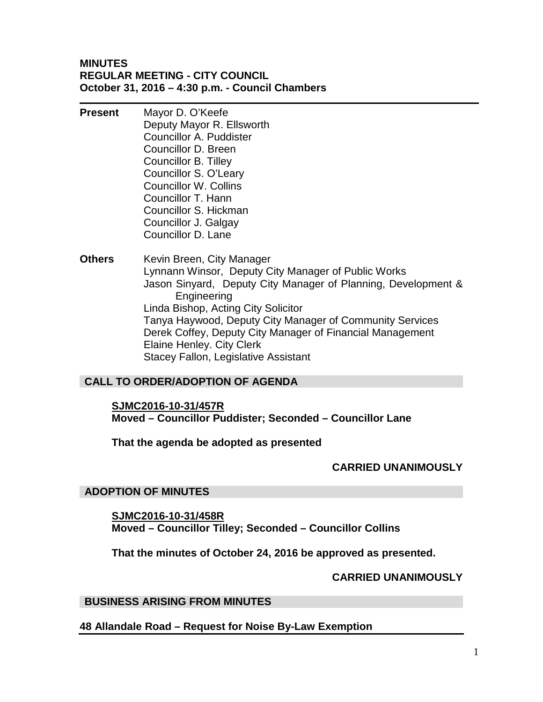### **MINUTES REGULAR MEETING - CITY COUNCIL October 31, 2016 – 4:30 p.m. - Council Chambers**

- **Present** Mayor D. O'Keefe Deputy Mayor R. Ellsworth Councillor A. Puddister Councillor D. Breen Councillor B. Tilley Councillor S. O'Leary Councillor W. Collins Councillor T. Hann Councillor S. Hickman Councillor J. Galgay Councillor D. Lane
- **Others** Kevin Breen, City Manager Lynnann Winsor, Deputy City Manager of Public Works Jason Sinyard, Deputy City Manager of Planning, Development & Engineering Linda Bishop, Acting City Solicitor Tanya Haywood, Deputy City Manager of Community Services Derek Coffey, Deputy City Manager of Financial Management Elaine Henley. City Clerk Stacey Fallon, Legislative Assistant

# **CALL TO ORDER/ADOPTION OF AGENDA**

### **SJMC2016-10-31/457R**

**Moved – Councillor Puddister; Seconded – Councillor Lane**

### **That the agenda be adopted as presented**

### **CARRIED UNANIMOUSLY**

### **ADOPTION OF MINUTES**

**SJMC2016-10-31/458R Moved – Councillor Tilley; Seconded – Councillor Collins**

**That the minutes of October 24, 2016 be approved as presented.**

### **CARRIED UNANIMOUSLY**

### **BUSINESS ARISING FROM MINUTES**

### **48 Allandale Road – Request for Noise By-Law Exemption**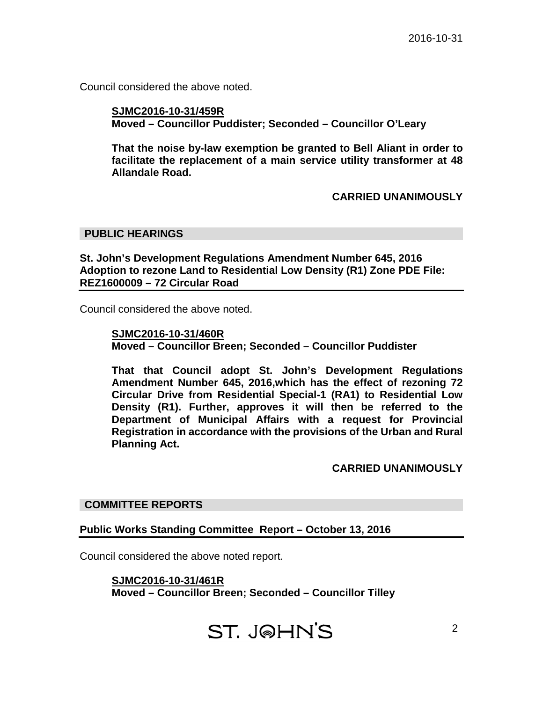Council considered the above noted.

### **SJMC2016-10-31/459R Moved – Councillor Puddister; Seconded – Councillor O'Leary**

**That the noise by-law exemption be granted to Bell Aliant in order to facilitate the replacement of a main service utility transformer at 48 Allandale Road.**

### **CARRIED UNANIMOUSLY**

### **PUBLIC HEARINGS**

### **St. John's Development Regulations Amendment Number 645, 2016 Adoption to rezone Land to Residential Low Density (R1) Zone PDE File: REZ1600009 – 72 Circular Road**

Council considered the above noted.

### **SJMC2016-10-31/460R**

**Moved – Councillor Breen; Seconded – Councillor Puddister**

**That that Council adopt St. John's Development Regulations Amendment Number 645, 2016,which has the effect of rezoning 72 Circular Drive from Residential Special-1 (RA1) to Residential Low Density (R1). Further, approves it will then be referred to the Department of Municipal Affairs with a request for Provincial Registration in accordance with the provisions of the Urban and Rural Planning Act.**

### **CARRIED UNANIMOUSLY**

### **COMMITTEE REPORTS**

### **Public Works Standing Committee Report – October 13, 2016**

Council considered the above noted report.

**SJMC2016-10-31/461R Moved – Councillor Breen; Seconded – Councillor Tilley**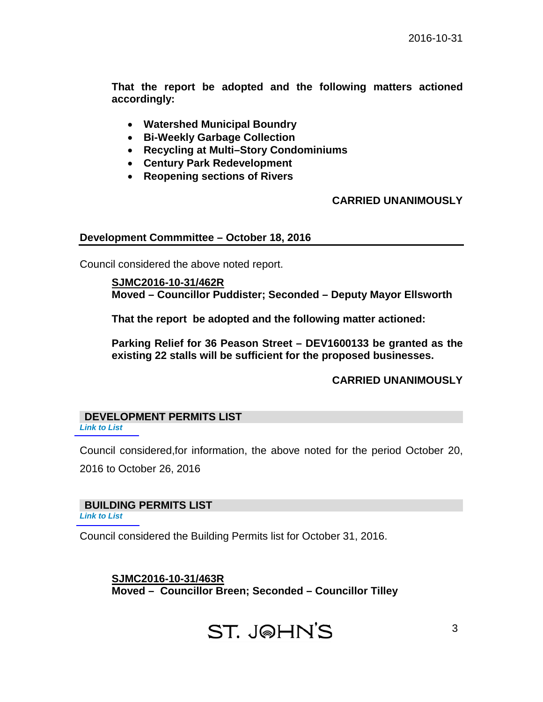**That the report be adopted and the following matters actioned accordingly:**

- **Watershed Municipal Boundry**
- **Bi-Weekly Garbage Collection**
- **Recycling at Multi–Story Condominiums**
- **Century Park Redevelopment**
- **Reopening sections of Rivers**

## **CARRIED UNANIMOUSLY**

### **Development Commmittee – October 18, 2016**

Council considered the above noted report.

### **SJMC2016-10-31/462R Moved – Councillor Puddister; Seconded – Deputy Mayor Ellsworth**

**That the report be adopted and the following matter actioned:**

**Parking Relief for 36 Peason Street – DEV1600133 be granted as the existing 22 stalls will be sufficient for the proposed businesses.**

### **CARRIED UNANIMOUSLY**

#### **DEVELOPMENT PERMITS LIST**  *[Link to List](#page-5-0)*

Council considered,for information, the above noted for the period October 20,

2016 to October 26, 2016

# **BUILDING PERMITS LIST**

*[Link to List](#page-6-0)*

Council considered the Building Permits list for October 31, 2016.

**SJMC2016-10-31/463R Moved – Councillor Breen; Seconded – Councillor Tilley**

# **ST. JOHN'S**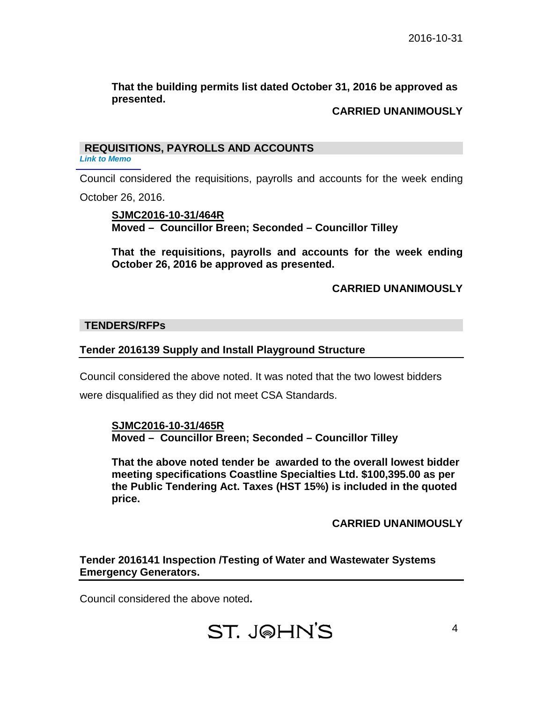## **That the building permits list dated October 31, 2016 be approved as presented.**

## **CARRIED UNANIMOUSLY**

## **REQUISITIONS, PAYROLLS AND ACCOUNTS**

*[Link to Memo](#page-9-0)*

Council considered the requisitions, payrolls and accounts for the week ending October 26, 2016.

### **SJMC2016-10-31/464R Moved – Councillor Breen; Seconded – Councillor Tilley**

**That the requisitions, payrolls and accounts for the week ending October 26, 2016 be approved as presented.**

# **CARRIED UNANIMOUSLY**

### **TENDERS/RFPs**

## **Tender 2016139 Supply and Install Playground Structure**

Council considered the above noted. It was noted that the two lowest bidders

were disqualified as they did not meet CSA Standards.

**SJMC2016-10-31/465R Moved – Councillor Breen; Seconded – Councillor Tilley**

**That the above noted tender be awarded to the overall lowest bidder meeting specifications Coastline Specialties Ltd. \$100,395.00 as per the Public Tendering Act. Taxes (HST 15%) is included in the quoted price.**

**CARRIED UNANIMOUSLY**

# **Tender 2016141 Inspection /Testing of Water and Wastewater Systems Emergency Generators.**

Council considered the above noted**.**

# ST. JOHN'S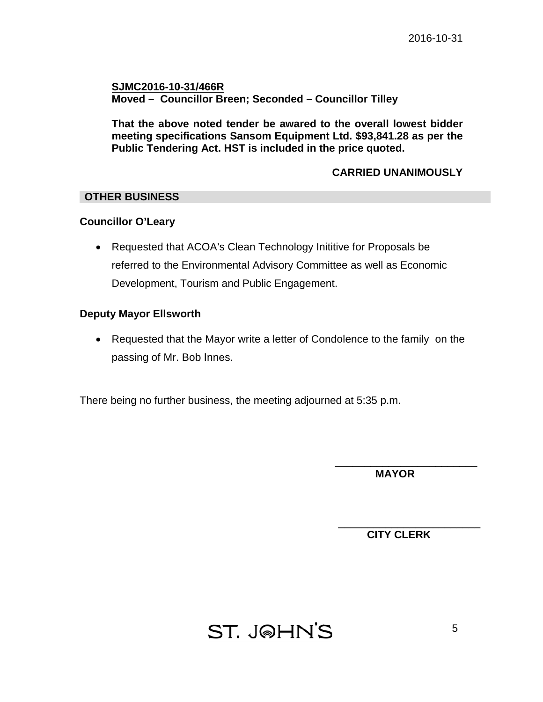**SJMC2016-10-31/466R Moved – Councillor Breen; Seconded – Councillor Tilley**

**That the above noted tender be awared to the overall lowest bidder meeting specifications Sansom Equipment Ltd. \$93,841.28 as per the Public Tendering Act. HST is included in the price quoted.**

## **CARRIED UNANIMOUSLY**

### **OTHER BUSINESS**

### **Councillor O'Leary**

• Requested that ACOA's Clean Technology Inititive for Proposals be referred to the Environmental Advisory Committee as well as Economic Development, Tourism and Public Engagement.

### **Deputy Mayor Ellsworth**

• Requested that the Mayor write a letter of Condolence to the family on the passing of Mr. Bob Innes.

There being no further business, the meeting adjourned at 5:35 p.m.

\_\_\_\_\_\_\_\_\_\_\_\_\_\_\_\_\_\_\_\_\_\_\_\_  **MAYOR**

**CITY CLERK**

\_\_\_\_\_\_\_\_\_\_\_\_\_\_\_\_\_\_\_\_\_\_\_\_

# **ST. J@HN'S**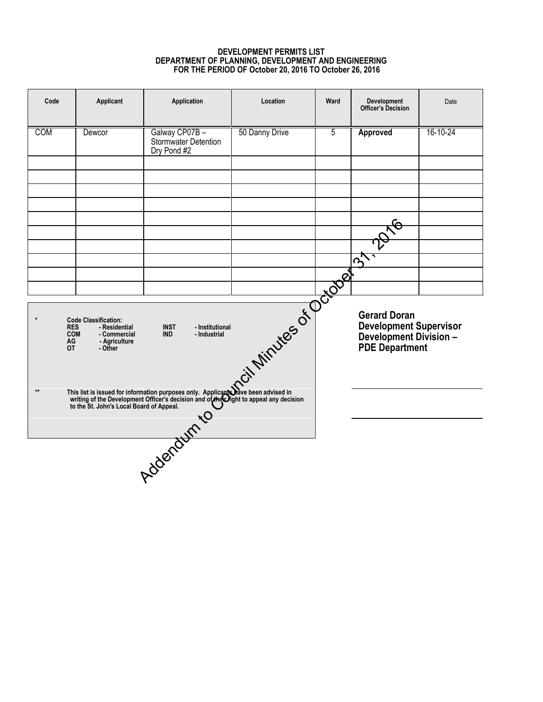### **DEVELOPMENT PERMITS LIST DEPARTMENT OF PLANNING, DEVELOPMENT AND ENGINEERING FOR THE PERIOD OF October 20, 2016 TO October 26, 2016**

<span id="page-5-0"></span>

| Code                                                                                                                                                                                                                             | Applicant | Application                                          | Location       | Ward           | <b>Development</b><br><b>Officer's Decision</b>                                                          | Date     |
|----------------------------------------------------------------------------------------------------------------------------------------------------------------------------------------------------------------------------------|-----------|------------------------------------------------------|----------------|----------------|----------------------------------------------------------------------------------------------------------|----------|
| <b>COM</b>                                                                                                                                                                                                                       | Dewcor    | Galway CP07B-<br>Stormwater Detention<br>Dry Pond #2 | 50 Danny Drive | $\overline{5}$ | Approved                                                                                                 | 16-10-24 |
|                                                                                                                                                                                                                                  |           |                                                      |                |                |                                                                                                          |          |
|                                                                                                                                                                                                                                  |           |                                                      |                |                |                                                                                                          |          |
|                                                                                                                                                                                                                                  |           |                                                      |                |                |                                                                                                          |          |
|                                                                                                                                                                                                                                  |           |                                                      |                |                | $\overline{5}$                                                                                           |          |
|                                                                                                                                                                                                                                  |           |                                                      |                |                |                                                                                                          |          |
| Total Minutes of Pool<br><b>Code Classification:</b><br><b>INST</b><br>- Residential<br>- Institutional<br><b>RES</b><br><b>COM</b><br><b>IND</b><br>- Industrial<br>- Commercial<br>AG<br>- Agriculture<br><b>OT</b><br>- Other |           |                                                      |                |                | <b>Gerard Doran</b><br><b>Development Supervisor</b><br><b>Development Division -<br/>PDE Department</b> |          |
| This list is issued for information purposes only. Applicants have been advised in<br>$**$<br>writing of the Development Officer's decision and of the Oight to appeal any decision<br>to the St. John's Local Board of Appeal.  |           |                                                      |                |                |                                                                                                          |          |
|                                                                                                                                                                                                                                  |           |                                                      |                |                |                                                                                                          |          |
|                                                                                                                                                                                                                                  |           | Addenation                                           |                |                |                                                                                                          |          |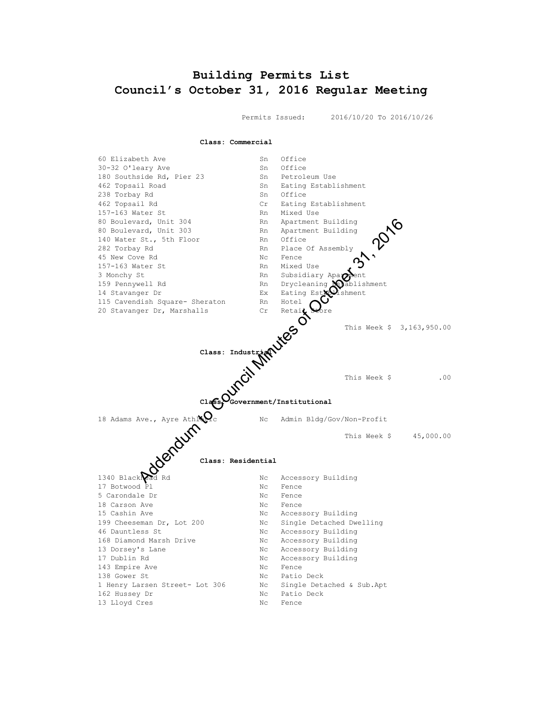# <span id="page-6-0"></span>**Building Permits List Council's October 31, 2016 Regular Meeting**

Permits Issued: 2016/10/20 To 2016/10/26

**Class: Commercial**

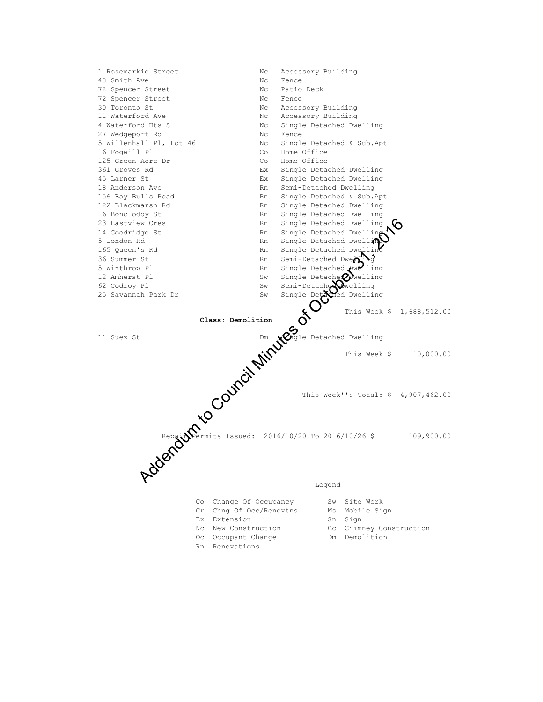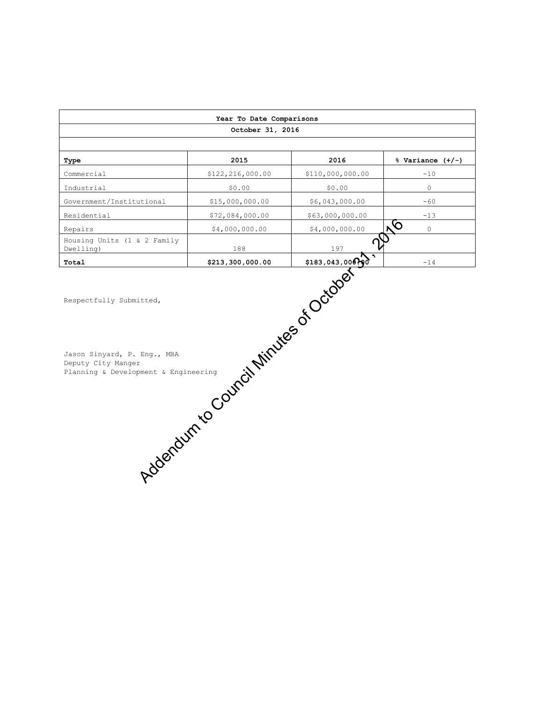| Year To Date Comparisons                                                                                                                                     |                  |                  |                           |  |  |  |  |  |
|--------------------------------------------------------------------------------------------------------------------------------------------------------------|------------------|------------------|---------------------------|--|--|--|--|--|
| October 31, 2016                                                                                                                                             |                  |                  |                           |  |  |  |  |  |
|                                                                                                                                                              |                  |                  |                           |  |  |  |  |  |
| Type                                                                                                                                                         | 2015             | 2016             | $%$ Variance $(+/-)$      |  |  |  |  |  |
| Commercial                                                                                                                                                   | \$122,216,000.00 | \$110,000,000.00 | $-10$                     |  |  |  |  |  |
| Industrial                                                                                                                                                   | \$0.00           | \$0.00           | $\circ$                   |  |  |  |  |  |
| Government/Institutional                                                                                                                                     | \$15,000,000.00  | \$6,043,000.00   | $-60$                     |  |  |  |  |  |
| Residential                                                                                                                                                  | \$72,084,000.00  | \$63,000,000.00  | $-13$                     |  |  |  |  |  |
| Repairs                                                                                                                                                      | \$4,000,000.00   | \$4,000,000.00   | $\overline{6}$<br>$\circ$ |  |  |  |  |  |
| Housing Units (1 & 2 Family<br>Dwelling)                                                                                                                     | 188              | 197              |                           |  |  |  |  |  |
| Total                                                                                                                                                        |                  | \$183,043,00000  | $-14$                     |  |  |  |  |  |
| Addenture Council Minutes of October<br>Respectfully Submitted,<br>Jason Sinyard, P. Eng., MBA<br>Deputy City Manger<br>Planning & Development & Engineering |                  |                  |                           |  |  |  |  |  |
|                                                                                                                                                              |                  |                  |                           |  |  |  |  |  |